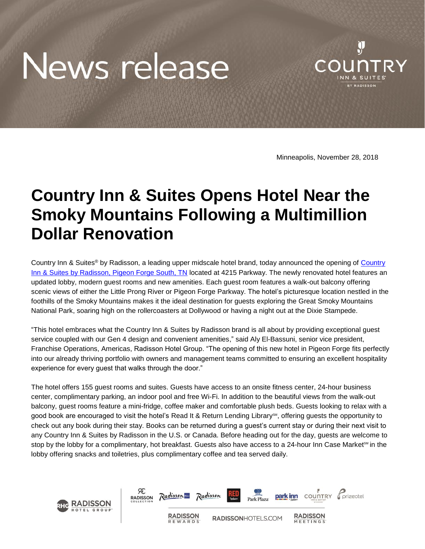## News release



Minneapolis, November 28, 2018

## **Country Inn & Suites Opens Hotel Near the Smoky Mountains Following a Multimillion Dollar Renovation**

Country Inn & Suites<sup>®</sup> by Radisson, a leading upper midscale hotel brand, today announced the opening of Country Inn & Suites [by Radisson, Pigeon Forge South, TN](https://www.countryinns.com/pigeon-forge-hotel-tn-37863/usapgtn) located at 4215 Parkway. The newly renovated hotel features an updated lobby, modern guest rooms and new amenities. Each guest room features a walk-out balcony offering scenic views of either the Little Prong River or Pigeon Forge Parkway. The hotel's picturesque location nestled in the foothills of the Smoky Mountains makes it the ideal destination for guests exploring the Great Smoky Mountains National Park, soaring high on the rollercoasters at Dollywood or having a night out at the Dixie Stampede.

"This hotel embraces what the Country Inn & Suites by Radisson brand is all about by providing exceptional guest service coupled with our Gen 4 design and convenient amenities," said Aly El-Bassuni, senior vice president, Franchise Operations, Americas, Radisson Hotel Group. "The opening of this new hotel in Pigeon Forge fits perfectly into our already thriving portfolio with owners and management teams committed to ensuring an excellent hospitality experience for every guest that walks through the door."

The hotel offers 155 guest rooms and suites. Guests have access to an onsite fitness center, 24-hour business center, complimentary parking, an indoor pool and free Wi-Fi. In addition to the beautiful views from the walk-out balcony, guest rooms feature a mini-fridge, coffee maker and comfortable plush beds. Guests looking to relax with a good book are encouraged to visit the hotel's Read It & Return Lending Library<sup>SM</sup>, offering guests the opportunity to check out any book during their stay. Books can be returned during a guest's current stay or during their next visit to any Country Inn & Suites by Radisson in the U.S. or Canada. Before heading out for the day, guests are welcome to stop by the lobby for a complimentary, hot breakfast. Guests also have access to a 24-hour Inn Case Market<sup>sM</sup> in the lobby offering snacks and toiletries, plus complimentary coffee and tea served daily.